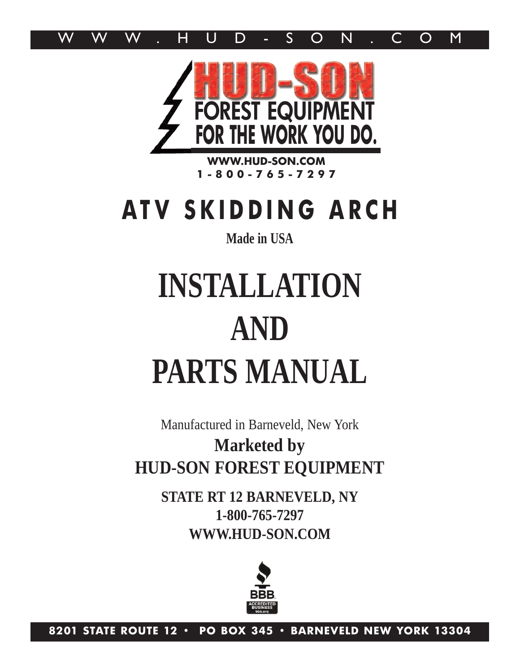



**WWW.HUD-SON.COM 1 - 8 0 0 - 7 6 5 - 7 2 9 7**

## **ATV SKIDDING ARCH**

### **Made in USA**

# **INSTALLATION AND PARTS MANUAL**

Manufactured in Barneveld, New York **Marketed by HUD-SON FOREST EQUIPMENT**

> **STATE RT 12 BARNEVELD, NY 1-800-765-7297 WWW.HUD-SON.COM**



**8201 STATE ROUTE 12 • PO BOX 345 • BARNEVELD NEW YORK 13304**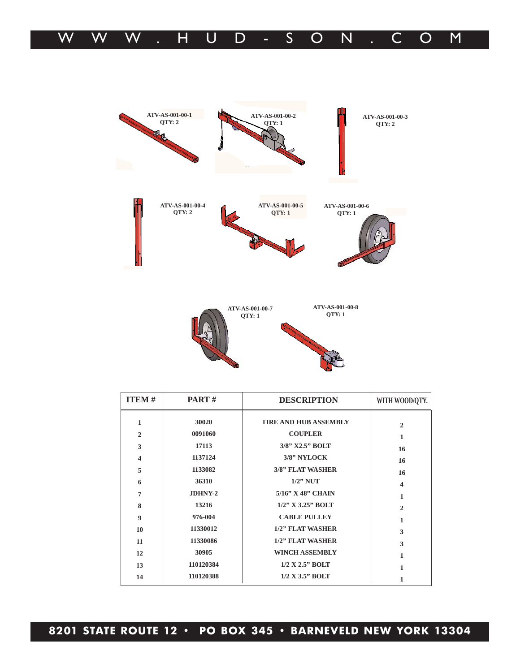| <b>ITEM#</b>     | <b>PART</b> $#$ | <b>DESCRIPTION</b>           | WITH WOOD/QTY.          |
|------------------|-----------------|------------------------------|-------------------------|
| 1                | 30020           | <b>TIRE AND HUB ASSEMBLY</b> | $\mathbf{2}$            |
| $\overline{2}$   | 0091060         | <b>COUPLER</b>               | 1                       |
| 3                | 17113           | 3/8" X2.5" BOLT              | 16                      |
| 4                | 1137124         | 3/8" NYLOCK                  | 16                      |
| 5                | 1133082         | <b>3/8" FLAT WASHER</b>      | 16                      |
| 6                | 36310           | $1/2$ " NUT                  | $\overline{\mathbf{4}}$ |
| 7                | JDHNY-2         | $5/16$ " X 48" CHAIN         | 1                       |
| 8                | 13216           | $1/2$ " X 3.25" BOLT         | $\overline{c}$          |
| $\boldsymbol{9}$ | 976-004         | <b>CABLE PULLEY</b>          | 1                       |
| 10               | 11330012        | 1/2" FLAT WASHER             | 3                       |
| 11               | 11330086        | 1/2" FLAT WASHER             | 3                       |
| 12               | 30905           | <b>WINCH ASSEMBLY</b>        | 1                       |
| 13               | 110120384       | $1/2$ X $2.5$ " BOLT         | 1                       |
| 14               | 110120388       | $1/2$ X 3.5" BOLT            |                         |





**ATV-AS-001-00-2 QTY: 1**

**ATV-AS-001-00-3 QTY: 2**

**ATV-AS-001-00-1 QTY: 2**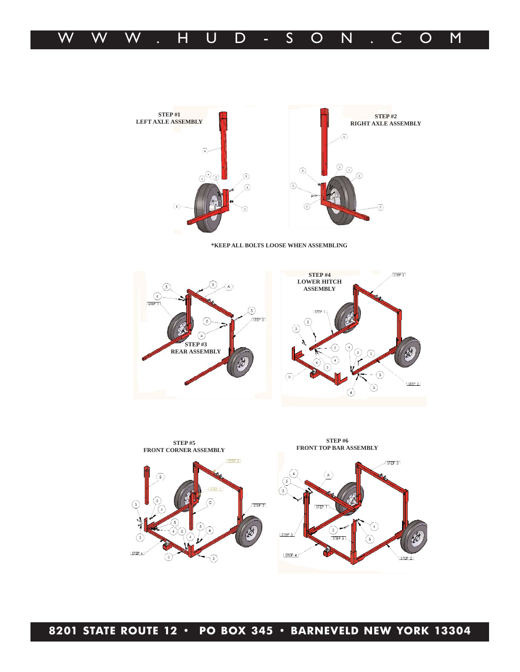



**\*KEEP ALL BOLTS LOOSE WHEN ASSEMBLING**





**8201 STATE ROUTE 12 • PO BOX 345 • BARNEVELD NEW YORK 13304**